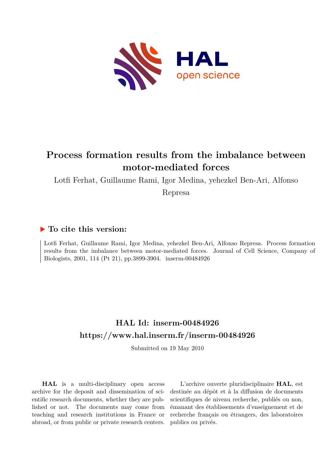

## **Process formation results from the imbalance between motor-mediated forces**

Lotfi Ferhat, Guillaume Rami, Igor Medina, yehezkel Ben-Ari, Alfonso

Represa

## **To cite this version:**

Lotfi Ferhat, Guillaume Rami, Igor Medina, yehezkel Ben-Ari, Alfonso Represa. Process formation results from the imbalance between motor-mediated forces. Journal of Cell Science, Company of Biologists, 2001, 114 (Pt 21), pp.3899-3904. inserm-00484926

## **HAL Id: inserm-00484926 <https://www.hal.inserm.fr/inserm-00484926>**

Submitted on 19 May 2010

**HAL** is a multi-disciplinary open access archive for the deposit and dissemination of scientific research documents, whether they are published or not. The documents may come from teaching and research institutions in France or abroad, or from public or private research centers.

L'archive ouverte pluridisciplinaire **HAL**, est destinée au dépôt et à la diffusion de documents scientifiques de niveau recherche, publiés ou non, émanant des établissements d'enseignement et de recherche français ou étrangers, des laboratoires publics ou privés.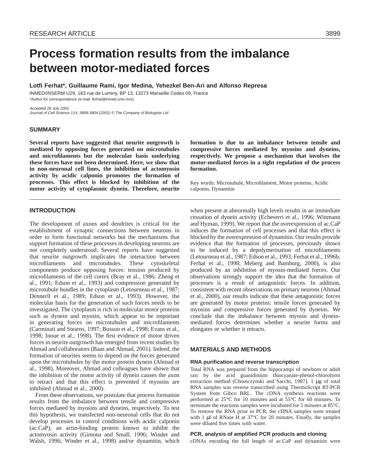# **Process formation results from the imbalance between motor-mediated forces**

**Lotfi Ferhat\*, Guillaume Rami, Igor Medina, Yehezkel Ben-Ari and Alfonso Represa**

INMED/INSERM U29, 163 rue de Luminy, BP 13, 13273 Marseille Cedex 09, France \*Author for correspondence (e-mail: ferhat@inmed.univ-mrs)

Accepted 26 July 2001 Journal of Cell Science 114, 3899-3904 (2001) © The Company of Biologists Ltd

## **SUMMARY**

**Several reports have suggested that neurite outgrowth is mediated by opposing forces generated on microtubules and microfilaments but the molecular basis underlying these forces have not been determined. Here, we show that in non-neuronal cell lines, the inhibition of actomyosin activity by acidic calponin promotes the formation of processes. This effect is blocked by inhibition of the motor activity of cytoplasmic dynein. Therefore, neurite**

## **formation is due to an imbalance between tensile and compressive forces mediated by myosins and dyneins, respectively. We propose a mechanism that involves the motor-mediated forces in a tight regulation of the process formation.**

Key words: Microtubule, Microfilament, Motor proteins, Acidic calponin, Dynamitin

## **INTRODUCTION**

The development of axons and dendrites is critical for the establishment of synaptic connections between neurons in order to form functional networks but the mechanisms that support formation of these processes in developing neurons are not completely understood. Several reports have suggested that neurite outgrowth implicates the interaction between microfilaments and microtubules. These cytoskeletal components produce opposing forces: tension produced by microfilaments of the cell cortex (Bray et al., 1986; Zheng et al., 1991; Edson et al., 1993) and compression generated by microtubule bundles in the cytoplasm (Letourneau et al., 1987; Dennerll et al., 1989; Edson et al., 1993). However, the molecular basis for the generation of such forces needs to be investigated. The cytoplasm is rich in molecular motor proteins such as dynein and myosin, which appear to be important in generating forces on microtubules and microfilaments (Carminati and Stearns, 1997; Busson et al., 1998; Evans et al., 1998; Inoue et al., 1998). The first evidence of motor driven forces in neurite outgrowth has emerged from recent studies by Ahmad and collaborators (Baas and Ahmad, 2001). Indeed, the formation of neurites seems to depend on the forces generated upon the microtubules by the motor protein dynein (Ahmad et al., 1998). Moreover, Ahmad and colleagues have shown that the inhibition of the motor activity of dynein causes the axon to retract and that this effect is prevented if myosins are inhibited (Ahmad et al., 2000).

From these observations, we postulate that process formation results from the imbalance between tensile and compressive forces mediated by myosins and dyneins, respectively. To test this hypothesis, we transfected non-neuronal cells that do not develop processes in control conditions with acidic calponin (ac.CaP), an actin-binding protein known to inhibit the actomyosin activity (Gimona and Small, 1996; Winder and Walsh, 1996; Winder et al., 1998) and/or dynamitin, which

when present at abnormally high levels results in an immediate cessation of dynein activity (Echeverri et al., 1996; Wittmann and Hyman, 1999). We report that the overexpression of ac.CaP induces the formation of cell processes and that this effect is blocked by the overexpression of dynamitin. Our results provide evidence that the formation of processes, previously shown to be induced by a depolymerisation of microfilaments (Letourneau et al., 1987; Edson et al., 1993; Ferhat et al., 1996b; Ferhat et al., 1998; Meberg and Bamburg, 2000), is also produced by an inhibition of myosin-mediated forces. Our observations strongly support the idea that the formation of processes is a result of antagonistic forces. In addition, consistent with recent observations on primary neurons (Ahmad et al., 2000), our results indicate that these antagonistic forces are generated by motor proteins: tensile forces generated by myosins and compressive forces generated by dyneins. We conclude that the imbalance between myosin and dyneinmediated forces determines whether a neurite forms and elongates or whether it retracts.

## **MATERIALS AND METHODS**

## **RNA purification and reverse transcription**

Total RNA was prepared from the hippocampi of newborn or adult rats by the acid guanidinium thiocyanate-phenol-chloroform extraction method (Chomczynski and Sacchi, 1987). 1 µg of total RNA samples was reverse transcribed using ThermoScript RT-PCR System from Gibco BRL. The cDNA synthesis reactions were performed at 25°C for 10 minutes and at 55°C for 60 minutes. To terminate the reactions samples were incubated for 5 minutes at 85°C. To remove the RNA prior to PCR, the cDNA samples were treated with 1 µl of RNase H at 37°C for 20 minutes. Finally, the samples were diluted five times with water.

## **PCR, analysis of amplified PCR products and cloning**

cDNAs encoding the full length of ac.CaP and dynamitin were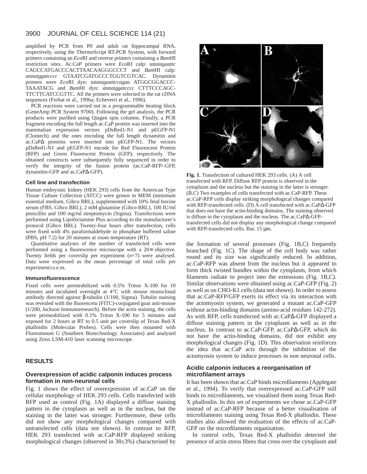#### 3900 JOURNAL OF CELL SCIENCE 114 (21)

amplified by PCR from P0 and adult rat hippocampal RNA, respectively, using the ThermoScript RT-PCR System, with forward primers containing an *Eco*RI and reverse primers containing a *Bam*HI restriction sites. Ac.CaP primers were *Eco*RI calp: *tatatagaattc* CAGCCATGACCCACTTAACAAGGGCCCT and *Bam*HI calp: *atatatggatcccc* GTAATCGATGCCCTGGTCGTCAC. Dynamitin primers were *Eco*RI dyn: *tatatagaattccagaa* ATGGCGGACCC-TAAATACG and *Bam*HI dyn: *atatatggatcccc* CTTTCCCAGC-TTCTTCATCCGTTC. All the primers were selected in the rat cDNA sequences (Ferhat et al., 1996a; Echeverri et al., 1996).

PCR reactions were carried out in a programmable heating block (GeneAmp PCR System 9700). Following the gel analysis, the PCR products were purified using Qiagen spin columns. Finally, a PCR fragment encoding the full length ac.CaP protein was inserted into the mammalian expression vectors pDsRed1-N1 and pEGFP-N1 (Clontech) and the ones encoding the full length dynamitin and ac.CaP∆ proteins were inserted into pEGFP-N1. The vectors pDsRed1-N1 and pEGFP-N1 encode for Red Fluorescent Protein (RFP) and Green Fluorescent Protein (GFP), respectively. The obtained constructs were subsequently fully sequenced in order to verify the integrity of the fusion protein (ac.CaP-RFP/-GFP, dynamitin-GFP and ac.CaP∆-GFP).

### **Cell line and transfection**

Human embryonic kidney (HEK 293) cells from the American Type Tissue Culture Collection (ATCC) were grown in MEM (minimum essential medium, Gibco BRL), supplemented with 10% fetal bovine serum (FBS, Gibco BRL), 2 mM glutamine (Gibco BRL), 100 IU/ml penicillin and 100 mg/ml streptomycin (Sigma). Transfections were performed using Lipofectamine Plus according to the manufacturer's protocol (Gibco BRL). Twenty-four hours after transfection, cells were fixed with 4% paraformaldehyde in phosphate buffered saline (PBS, pH 7.2) for 20 minutes at room temperature (RT).

Quantitative analyses of the number of transfected cells were performed using a fluorescence microscope with a 20× objective. Twenty fields per coverslip per experiment (*n*=7) were analysed. Data were expressed as the mean percentage of total cells per experiment±s.e.m.

### **Immunofluorescence**

Fixed cells were permeabilized with 0.5% Triton X-100 for 10 minutes and incubated overnight at 4°C with mouse monoclonal antibody directed against β-tubulin (1/100, Sigma). Tubulin staining was revealed with the fluorescein (FITC)-conjugated goat anti-mouse (1/200, Jackson Immunoresearch). Before the actin staining, the cells were permeabilized with 0.1% Triton X-100 for 5 minutes and exposed for 2 hours at RT to 0.5 unit per coverslip of Texas Red-X phalloidin (Molecular Probes). Cells were then mounted with Fluoromount G (Southern Biotechnology Associates) and analysed using Zeiss LSM-410 laser scanning microscope.

## **RESULTS**

## **Overexpression of acidic calponin induces process formation in non-neuronal cells**

Fig. 1 shows the effect of overexpression of ac.CaP on the cellular morphology of HEK 293 cells. Cells transfected with RFP used as control (Fig. 1A) displayed a diffuse staining pattern in the cytoplasm as well as in the nucleus, but the staining in the latter was stronger. Furthermore, these cells did not show any morphological changes compared with untransfected cells (data not shown). In contrast to RFP, HEK 293 transfected with ac.CaP-RFP displayed striking morphological changes (observed in 38±3%) characterised by



**Fig. 1.** Transfection of cultured HEK 293 cells. (A) A cell transfected with RFP. Diffuse RFP protein is observed in the cytoplasm and the nucleus but the staining in the latter is stronger. (B,C) Two examples of cells transfected with ac.CaP-RFP. These ac.CaP-RFP cells display striking morphological changes compared with RFP-transfected cells. (D) A cell transfected with ac.CaP∆-GFP that does not have the actin-binding domains. The staining observed is diffuse in the cytoplasm and the nucleus. The ac.CaP∆-GFPtransfected cells did not display any morphological change compared with RFP-transfected cells. Bar, 15  $\mu$ m.

the formation of several processes (Fig. 1B,C) frequently branched (Fig. 1C). The shape of the cell body was rather round and its size was significantly reduced. In addition, ac.CaP-RFP was absent from the nucleus but it appeared to form thick twisted bundles within the cytoplasm, from which filaments radiate to project into the extensions (Fig. 1B,C). Similar observations were obtained using ac.CaP-GFP (Fig. 2) as well as on CHO-K1 cells (data not shown). In order to assess that ac.CaP-RFP/GFP exerts its effect via its interaction with the actomyosin system, we generated a mutant ac.CaP-GFP without actin-binding domains (amino-acid residues 142-272). As with RFP, cells transfected with ac.CaP∆-GFP displayed a diffuse staining pattern in the cytoplasm as well as in the nucleus. In contrast to ac.CaP-GFP, ac.CaP∆-GFP, which do not have the actin-binding domains, did not exhibit any morphological changes (Fig. 1D). This observation reinforces the idea that ac.CaP acts through the inhibition of the actomyosin system to induce processes in non neuronal cells.

## **Acidic calponin induces a reorganisation of microfilament arrays**

It has been shown that ac.CaP binds microfilaments (Applegate et al., 1994). To verify that overexpressed ac.CaP-GFP still binds to microfilaments, we visualised them using Texas Red-X phalloidin. In this set of experiments we chose ac.CaP-GFP instead of ac.CaP-RFP because of a better visualisation of microfilaments staining using Texas Red-X phalloidin. These studies also allowed the evaluation of the effects of ac.CaP-GFP on the microfilaments organisation.

In control cells, Texas Red-X phalloidin detected the presence of actin stress fibres that cross over the cytoplasm and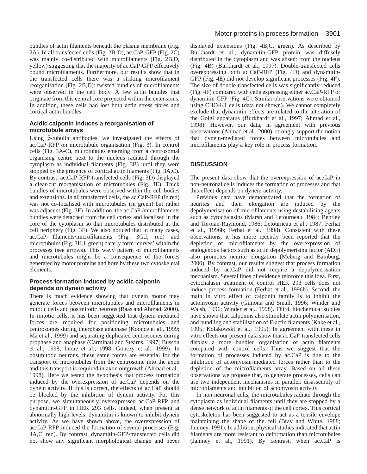bundles of actin filaments beneath the plasma membrane (Fig. 2A). In all transfected cells (Fig. 2B-D), ac.CaP-GFP (Fig. 2C) was mainly co-distributed with microfilaments (Fig. 2B,D, yellow) suggesting that the majority of ac.CaP-GFP effectively bound microfilaments. Furthermore, our results show that in the transfected cells there was a striking microfilament reorganisation (Fig. 2B,D): twisted bundles of microfilaments were observed in the cell body. A few actin bundles that originate from this central core projected within the extensions. In addition, these cells had lost both actin stress fibres and cortical actin bundles.

## **Acidic calponin induces a reorganisation of microtubule arrays**

Using β-tubulin antibodies, we investigated the effects of ac.CaP-RFP on microtubule organisation (Fig. 3). In control cells (Fig. 3A-C), microtubules emerging from a centrosomal organising centre next to the nucleus radiated through the cytoplasm as individual filaments (Fig. 3B) until they were stopped by the presence of cortical actin filaments (Fig. 3A,C). By contrast, ac.CaP-RFP-transfected cells (Fig. 3D) displayed a clear-cut reorganisation of microtubules (Fig. 3E). Thick bundles of microtubules were observed within the cell bodies and extensions. In all transfected cells, the ac.CaP-RFP (in red) was not co-localised with microtubules (in green) but rather was adjacent (Fig. 3F). In addition, the ac.CaP /microfilaments bundles were detached from the cell cortex and localised in the core of the cytoplasm so that microtubules distributed at the cell periphery (Fig. 3F). We also noticed that in many cases, ac.CaP filaments/microfilaments (Fig. 3G,I, red) and microtubules (Fig. 3H,I, green) clearly form 'curves' within the processes (see arrows). This wavy pattern of microfilaments and microtubules might be a consequence of the forces generated by motor proteins and bore by these two cytoskeletal elements.

## **Process formation induced by acidic calponin depends on dynein activity**

There is much evidence showing that dynein motor may generate forces between microtubules and microfilaments in mitotic cells and postmitotic neurons (Baas and Ahmad, 2000). In mitotic cells, it has been suggested that dynein-mediated forces are required for positioning microtubules and centrosomes during interphase anaphase (Koonce et al., 1999; Ma et al., 1999) and separating duplicated centrosomes during prophase and anaphase (Carminati and Stearns, 1997; Busson et al., 1998; Inoue et al., 1998; Gonczy et al., 1999). In postmitotic neurons, these same forces are essential for the transport of microtubules from the centrosome into the axon and this transport is required in axon outgrowth (Ahmad et al., 1998). Here we tested the hypothesis that process formation induced by the overexpression of ac.CaP depends on the dynein activity. If this is correct, the effects of ac.CaP should be blocked by the inhibition of dynein activity. For this purpose, we simultaneously overexpressed ac.CaP-RFP and dynamitin-GFP in HEK 293 cells. Indeed, when present at abnormally high levels, dynamitin is known to inhibit dynein activity. As we have shown above, the overexpression of ac.CaP-RFP induced the formation of several processes (Fig. 4A,C, red). By contrast, dynamitin-GFP-transfected cells did not show any significant morphological change and never

displayed extensions (Fig. 4B,C, green). As described by Burkhardt et al., dynamitin-GFP protein was diffusely distributed in the cytoplasm and was absent from the nucleus (Fig. 4B) (Burkhardt et al., 1997). Double-transfected cells overexpressing both ac.CaP-RFP (Fig. 4D) and dynamitin-GFP (Fig. 4E) did not develop significant processes (Fig. 4F). The size of double-transfected cells was significantly reduced (Fig. 4F) compared with cells expressing either ac.CaP-RFP or dynamitin-GFP (Fig. 4C). Similar observations were obtained using CHO-K1 cells (data not shown). We cannot completely exclude that dynamitin effects are related to the alteration of the Golgi apparatus (Burkhardt et al., 1997; Ahmad et al., 1998). However, our data, in agreement with previous observations (Ahmad et al., 2000), strongly support the notion that dynein-mediated forces between microtubules and microfilaments play a key role in process formation.

## **DISCUSSION**

The present data show that the overexpression of ac.CaP in non-neuronal cells induces the formation of processes and that this effect depends on dynein activity.

Previous data have demonstrated that the formation of neurites and their elongation are induced by the depolymerisation of microfilaments using destabilising agents such as cytochalasins (Marsh and Letourneau, 1984; Bentley and Toroian-Raymond, 1986; Letourneau et al., 1987; Ferhat et al., 1996b; Ferhat et al., 1998). Consistent with these observations, it has more recently been reported that the depletion of microfilaments by the overexpression of endogenous factors such as actin depolymerising factor (ADF) also promotes neurite elongation (Meberg and Bamburg, 2000). By contrast, our results suggest that process formation induced by ac.CaP did not require a depolymerisation mechanism. Several lines of evidence reinforce this idea. First, cytochalasin treatment of control HEK 293 cells does not induce process formation (Ferhat et al., 1996b). Second, the main in vitro effect of calponin family is to inhibit the actomyosin activity (Gimona and Small, 1996; Winder and Walsh, 1996; Winder et al., 1998). Third, biochemical studies have shown that calponins also stimulate actin polymerisation, and bundling and stabilisation of F-actin filaments (Kake et al., 1995; Kolakowski et al., 1995). In agreement with these in vitro effects our present data show that ac.CaP-transfected cells display a more bundled organisation of actin filaments compared with control cells. Thus we suggest that the formation of processes induced by ac.CaP is due to the inhibition of actomyosin-mediated forces rather than to the depletion of the microfilaments array. Based on all these observations we propose that, to generate processes, cells can use two independent mechanisms in parallel: disassembly of microfilaments and inhibition of actomyosin activity.

In non-neuronal cells, the microtubules radiate through the cytoplasm as individual filaments until they are stopped by a dense network of actin filaments of the cell cortex. This cortical cytoskeleton has been suggested to act as a tensile envelope maintaining the shape of the cell (Bray and White, 1988; Janmey, 1991). In addition, physical studies indicated that actin filaments are more resistant to deformation than microtubules (Janmey et al., 1991). By contrast, when ac.CaP is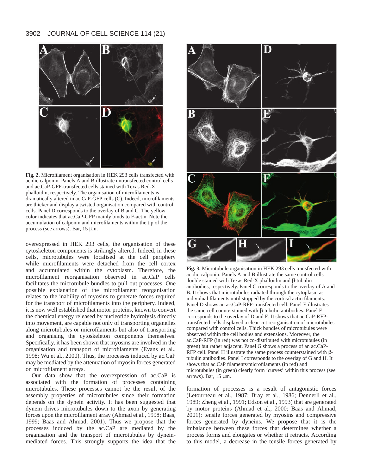## 3902 JOURNAL OF CELL SCIENCE 114 (21)



**Fig. 2.** Microfilament organisation in HEK 293 cells transfected with acidic calponin. Panels A and B illustrate untransfected control cells and ac.CaP-GFP-transfected cells stained with Texas Red-X phalloidin, respectively. The organisation of microfilaments is dramatically altered in ac.CaP-GFP cells (C). Indeed, microfilaments are thicker and display a twisted organisation compared with control cells. Panel D corresponds to the overlay of B and C. The yellow color indicates that ac.CaP-GFP mainly binds to F-actin. Note the accumulation of calponin and microfilaments within the tip of the process (see arrows). Bar, 15 µm.

overexpressed in HEK 293 cells, the organisation of these cytoskeleton components is strikingly altered. Indeed, in these cells, microtubules were localised at the cell periphery while microfilaments were detached from the cell cortex and accumulated within the cytoplasm. Therefore, the microfilament reorganisation observed in ac.CaP cells facilitates the microtubule bundles to pull out processes. One possible explanation of the microfilament reorganisation relates to the inability of myosins to generate forces required for the transport of microfilaments into the periphery. Indeed, it is now well established that motor proteins, known to convert the chemical energy released by nucleotide hydrolysis directly into movement, are capable not only of transporting organelles along microtubules or microfilaments but also of transporting and organising the cytoskeleton components themselves. Specifically, it has been shown that myosins are involved in the organisation and transport of microfilaments (Evans et al., 1998; Wu et al., 2000). Thus, the processes induced by ac.CaP may be mediated by the attenuation of myosin forces generated on microfilament arrays.

Our data show that the overexpression of ac.CaP is associated with the formation of processes containing microtubules. These processes cannot be the result of the assembly properties of microtubules since their formation depends on the dynein activity. It has been suggested that dynein drives microtubules down to the axon by generating forces upon the microfilament array (Ahmad et al., 1998; Baas, 1999; Baas and Ahmad, 2001). Thus we propose that the processes induced by the ac.CaP are mediated by the organisation and the transport of microtubules by dyneinmediated forces. This strongly supports the idea that the



**Fig. 3.** Microtubule organisation in HEK 293 cells transfected with acidic calponin. Panels A and B illustrate the same control cells double stained with Texas Red-X phalloidin and β-tubulin antibodies, respectively. Panel C corresponds to the overlay of A and B. It shows that microtubules radiated through the cytoplasm as individual filaments until stopped by the cortical actin filaments. Panel D shows an ac.CaP-RFP-transfected cell. Panel E illustrates the same cell counterstained with β-tubulin antibodies. Panel F corresponds to the overlay of D and E. It shows that ac.CaP-RFPtransfected cells displayed a clear-cut reorganisation of microtubules compared with control cells. Thick bundles of microtubules were observed within the cell bodies and extensions. Moreover, the ac.CaP-RFP (in red) was not co-distributed with microtubules (in green) but rather adjacent. Panel G shows a process of an ac.CaP-RFP cell. Panel H illustrate the same process counterstained with βtubulin antibodies. Panel I corresponds to the overlay of G and H. It shows that ac.CaP filaments/microfilaments (in red) and microtubules (in green) clearly form 'curves' within this process (see arrows). Bar, 15 µm.

formation of processes is a result of antagonistic forces (Letourneau et al., 1987; Bray et al., 1986; Dennerll et al., 1989; Zheng et al., 1991; Edson et al., 1993) that are generated by motor proteins (Ahmad et al., 2000; Baas and Ahmad, 2001): tensile forces generated by myosins and compressive forces generated by dyneins. We propose that it is the imbalance between these forces that determines whether a process forms and elongates or whether it retracts. According to this model, a decrease in the tensile forces generated by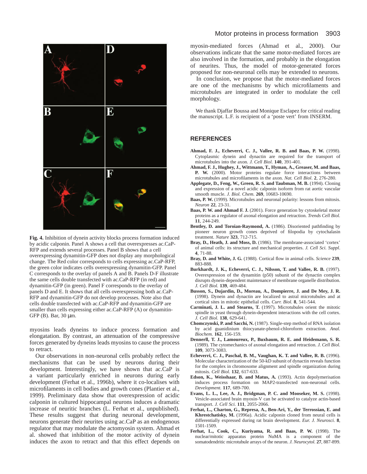

**Fig. 4.** Inhibition of dynein activity blocks process formation induced by acidic calponin. Panel A shows a cell that overexpresses ac.CaP-RFP and extends several processes. Panel B shows that a cell overexpressing dynamitin-GFP does not display any morphological change. The Red color corresponds to cells expressing ac.CaP-RFP, the green color indicates cells overexpressing dynamitin-GFP. Panel C corresponds to the overlay of panels A and B. Panels D-F illustrate the same cells double transfected with ac.CaP-RFP (in red) and dynamitin-GFP (in green). Panel F corresponds to the overlay of panels D and E. It shows that all cells overexpressing both ac.CaP-RFP and dynamitin-GFP do not develop processes. Note also that cells double transfected with ac.CaP-RFP and dynamitin-GFP are smaller than cells expressing either ac.CaP-RFP (A) or dynamitin-GFP (B). Bar, 30 μm.

myosins leads dyneins to induce process formation and elongatation. By contrast, an attenuation of the compressive forces generated by dyneins leads myosins to cause the process to retract.

Our observations in non-neuronal cells probably reflect the mechanisms that can be used by neurons during their development. Interestingly, we have shown that ac.CaP is a variant particularly enriched in neurons during early development (Ferhat et al., 1996b), where it co-localises with microfilaments in cell bodies and growth cones (Plantier et al., 1999). Preliminary data show that overexpression of acidic calponin in cultured hippocampal neurons induces a dramatic increase of neuritic branches (L. Ferhat et al., unpublished). These results suggest that during neuronal development, neurons generate their neurites using ac.CaP as an endogenous regulator that may modulate the actomyosin system. Ahmad et al. showed that inhibition of the motor activity of dynein induces the axon to retract and that this effect depends on

## Motor proteins in process formation 3903

myosin-mediated forces (Ahmad et al., 2000). Our observations indicate that the same motor-mediated forces are also involved in the formation, and probably in the elongation of neurites. Thus, the model of motor-generated forces proposed for non-neuronal cells may be extended to neurons.

In conclusion, we propose that the motor-mediated forces are one of the mechanisms by which microfilaments and microtubules are integrated in order to modulate the cell morphology.

We thank Djaffar Boussa and Monique Esclapez for critical reading the manuscript. L.F. is recipient of a 'poste vert' from INSERM.

## **REFERENCES**

- **Ahmad, F. J., Echeverri, C. J., Vallee, R. B. and Baas, P. W.** (1998). Cytoplasmic dynein and dynactin are required for the transport of microtubules into the axon. *J. Cell Biol*. **140**, 391-401.
- **Ahmad, F. J., Hughey, J., Wittmann, T., Hyman, A., Greaser, M. and Baas, P. W.** (2000). Motor proteins regulate force interactions between microtubules and microfilaments in the axon. *Nat. Cell Biol*. **2**, 276-280.
- **Applegate, D., Feng, W., Green, R. S. and Taubman, M. B.** (1994). Cloning and expression of a novel acidic calponin isoform from rat aortic vascular smooth muscle. *J. Biol. Chem*. **269**, 10683-10690.
- **Baas, P. W.** (1999). Microtubules and neuronal polarity: lessons from mitosis. *Neuron* **22**, 23-31.
- **Baas, P. W. and Ahmad F. J.** (2001). Force generation by cytoskeletal motor proteins as a regulator of axonal elongation and retraction. *Trends Cell Biol.* **11**, 244-249.
- **Bentley, D. and Toroian-Raymond, A.** (1986). Disoriented pathfinding by pioneer neuron growth cones deprived of filopodia by cytochalasin treatment. *Nature* **323**, 712-715.
- **Bray, D., Heath, J. and Moss, D.** (1986). The membrane-associated 'cortex' of animal cells: its structure and mechanical properties. *J. Cell Sci. Suppl*. **4**, 71-88.
- **Bray, D. and White, J. G.** (1988). Cortical flow in animal cells. *Science* **239**, 883-888.
- **Burkhardt, J. K., Echeverri, C. J., Nilsson, T. and Vallee, R. B.** (1997). Overexpression of the dynamitin (p50) subunit of the dynactin complex disrupts dynein-dependent maintenance of membrane organelle distribution. *J. Cell Biol.* **139**, 469-484.
- **Busson, S., Dujardin, D., Moreau, A., Dompierre, J. and De Mey, J. R.** (1998). Dynein and dynactin are localized to astral microtubules and at cortical sites in mitotic epithelial cells. *Curr. Biol.* **8**, 541-544.
- **Carminati, J. L. and Stearns, T.** (1997). Microtubules orient the mitotic spindle in yeast through dynein-dependent interactions with the cell cortex. *J. Cell Biol.* **138**, 629-641.
- **Chomczynski, P. and Sacchi, N.** (1987). Single-step method of RNA isolation by acid guanidinium thiocyanate-phenol-chloroform extraction. *Anal. Biochem.* **162**, 156-159.
- **Dennerll, T. J., Lamoureux, P., Buxbaum, R. E. and Heidemann, S. R.** (1989). The cytomechanics of axonal elongation and retraction. *J. Cell Biol.* **109**, 3073-3083.
- **Echeverri, C. J., Paschal, B. M., Vaughan, K. T. and Vallee, R. B.** (1996). Molecular characterization of the 50-kD subunit of dynactin reveals function for the complex in chromosome alignment and spindle organization during mitosis. *Cell Biol.* **132**, 617-633.
- **Edson, K., Weisshaar, B. and Matus, A.** (1993). Actin depolymerisation induces process formation on MAP2-transfected non-neuronal cells. *Development.* **117**, 689-700.
- **Evans, L. L., Lee, A. J., Bridgman, P. C. and Mooseker, M. S.** (1998). Vesicle-associated brain myosin-V can be activated to catalyze actin-based transport. *J. Cell Sci.* **111**, 2055-2066.
- **Ferhat, L., Charton, G., Represa, A., Ben-Ari, Y., der Terrossian, E. and Khrestchatisky, M.** (1996a). Acidic calponin cloned from neural cells is differentially expressed during rat brain development. *Eur. J. Neurosci.* **8**, 1501-1509.
- **Ferhat, L., Cook, C., Kuriyama, R. and Baas, P. W.** (1998). The nuclear/mitotic apparatus protein NuMA is a component of the somatodendritic microtubule arrays of the neuron. *J. Neurocytol.* **27**, 887-899.